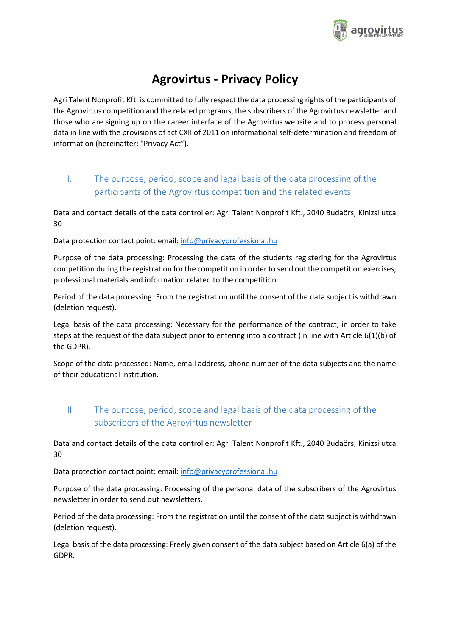

# **Agrovirtus - Privacy Policy**

Agri Talent Nonprofit Kft. is committed to fully respect the data processing rights of the participants of the Agrovirtus competition and the related programs, the subscribers of the Agrovirtus newsletter and those who are signing up on the career interface of the Agrovirtus website and to process personal data in line with the provisions of act CXII of 2011 on informational self-determination and freedom of information (hereinafter: "Privacy Act").

# I. The purpose, period, scope and legal basis of the data processing of the participants of the Agrovirtus competition and the related events

Data and contact details of the data controller: Agri Talent Nonprofit Kft., 2040 Budaörs, Kinizsi utca 30

Data protection contact point: email: [info@privacyprofessional.hu](mailto:info@privacyprofessional.hu)

Purpose of the data processing: Processing the data of the students registering for the Agrovirtus competition during the registration for the competition in order to send out the competition exercises, professional materials and information related to the competition.

Period of the data processing: From the registration until the consent of the data subject is withdrawn (deletion request).

Legal basis of the data processing: Necessary for the performance of the contract, in order to take steps at the request of the data subject prior to entering into a contract (in line with Article 6(1)(b) of the GDPR).

Scope of the data processed: Name, email address, phone number of the data subjects and the name of their educational institution.

# II. The purpose, period, scope and legal basis of the data processing of the subscribers of the Agrovirtus newsletter

Data and contact details of the data controller: Agri Talent Nonprofit Kft., 2040 Budaörs, Kinizsi utca 30

Data protection contact point: email: [info@privacyprofessional.hu](mailto:info@privacyprofessional.hu)

Purpose of the data processing: Processing of the personal data of the subscribers of the Agrovirtus newsletter in order to send out newsletters.

Period of the data processing: From the registration until the consent of the data subject is withdrawn (deletion request).

Legal basis of the data processing: Freely given consent of the data subject based on Article 6(a) of the GDPR.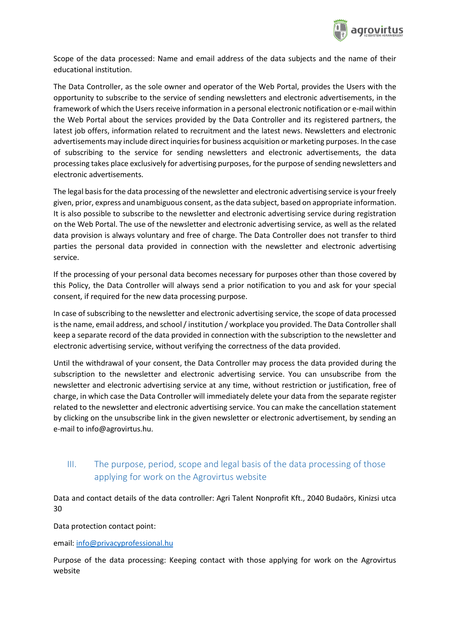

Scope of the data processed: Name and email address of the data subjects and the name of their educational institution.

The Data Controller, as the sole owner and operator of the Web Portal, provides the Users with the opportunity to subscribe to the service of sending newsletters and electronic advertisements, in the framework of which the Users receive information in a personal electronic notification or e-mail within the Web Portal about the services provided by the Data Controller and its registered partners, the latest job offers, information related to recruitment and the latest news. Newsletters and electronic advertisements may include direct inquiries for business acquisition or marketing purposes. In the case of subscribing to the service for sending newsletters and electronic advertisements, the data processing takes place exclusively for advertising purposes, for the purpose of sending newsletters and electronic advertisements.

The legal basis for the data processing of the newsletter and electronic advertising service is your freely given, prior, express and unambiguous consent, as the data subject, based on appropriate information. It is also possible to subscribe to the newsletter and electronic advertising service during registration on the Web Portal. The use of the newsletter and electronic advertising service, as well as the related data provision is always voluntary and free of charge. The Data Controller does not transfer to third parties the personal data provided in connection with the newsletter and electronic advertising service.

If the processing of your personal data becomes necessary for purposes other than those covered by this Policy, the Data Controller will always send a prior notification to you and ask for your special consent, if required for the new data processing purpose.

In case of subscribing to the newsletter and electronic advertising service, the scope of data processed is the name, email address, and school / institution / workplace you provided. The Data Controller shall keep a separate record of the data provided in connection with the subscription to the newsletter and electronic advertising service, without verifying the correctness of the data provided.

Until the withdrawal of your consent, the Data Controller may process the data provided during the subscription to the newsletter and electronic advertising service. You can unsubscribe from the newsletter and electronic advertising service at any time, without restriction or justification, free of charge, in which case the Data Controller will immediately delete your data from the separate register related to the newsletter and electronic advertising service. You can make the cancellation statement by clicking on the unsubscribe link in the given newsletter or electronic advertisement, by sending an e-mail to info@agrovirtus.hu.

## III. The purpose, period, scope and legal basis of the data processing of those applying for work on the Agrovirtus website

Data and contact details of the data controller: Agri Talent Nonprofit Kft., 2040 Budaörs, Kinizsi utca 30

Data protection contact point:

email: [info@privacyprofessional.hu](mailto:info@privacyprofessional.hu)

Purpose of the data processing: Keeping contact with those applying for work on the Agrovirtus website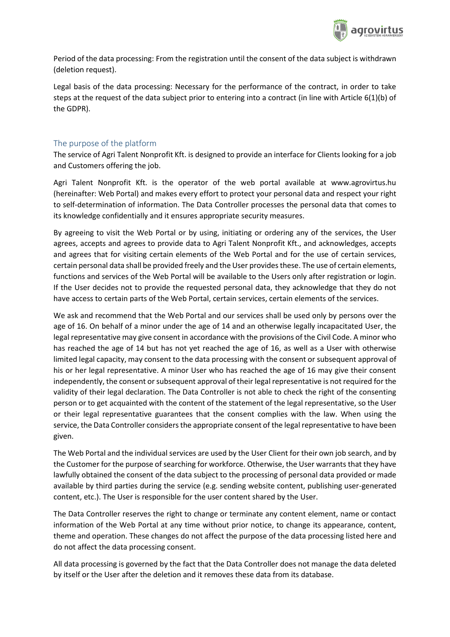

Period of the data processing: From the registration until the consent of the data subject is withdrawn (deletion request).

Legal basis of the data processing: Necessary for the performance of the contract, in order to take steps at the request of the data subject prior to entering into a contract (in line with Article 6(1)(b) of the GDPR).

## The purpose of the platform

The service of Agri Talent Nonprofit Kft. is designed to provide an interface for Clients looking for a job and Customers offering the job.

Agri Talent Nonprofit Kft. is the operator of the web portal available at www.agrovirtus.hu (hereinafter: Web Portal) and makes every effort to protect your personal data and respect your right to self-determination of information. The Data Controller processes the personal data that comes to its knowledge confidentially and it ensures appropriate security measures.

By agreeing to visit the Web Portal or by using, initiating or ordering any of the services, the User agrees, accepts and agrees to provide data to Agri Talent Nonprofit Kft., and acknowledges, accepts and agrees that for visiting certain elements of the Web Portal and for the use of certain services, certain personal data shall be provided freely and the User provides these. The use of certain elements, functions and services of the Web Portal will be available to the Users only after registration or login. If the User decides not to provide the requested personal data, they acknowledge that they do not have access to certain parts of the Web Portal, certain services, certain elements of the services.

We ask and recommend that the Web Portal and our services shall be used only by persons over the age of 16. On behalf of a minor under the age of 14 and an otherwise legally incapacitated User, the legal representative may give consent in accordance with the provisions of the Civil Code. A minor who has reached the age of 14 but has not yet reached the age of 16, as well as a User with otherwise limited legal capacity, may consent to the data processing with the consent or subsequent approval of his or her legal representative. A minor User who has reached the age of 16 may give their consent independently, the consent or subsequent approval of their legal representative is not required for the validity of their legal declaration. The Data Controller is not able to check the right of the consenting person or to get acquainted with the content of the statement of the legal representative, so the User or their legal representative guarantees that the consent complies with the law. When using the service, the Data Controller considers the appropriate consent of the legal representative to have been given.

The Web Portal and the individual services are used by the User Client for their own job search, and by the Customer for the purpose of searching for workforce. Otherwise, the User warrants that they have lawfully obtained the consent of the data subject to the processing of personal data provided or made available by third parties during the service (e.g. sending website content, publishing user-generated content, etc.). The User is responsible for the user content shared by the User.

The Data Controller reserves the right to change or terminate any content element, name or contact information of the Web Portal at any time without prior notice, to change its appearance, content, theme and operation. These changes do not affect the purpose of the data processing listed here and do not affect the data processing consent.

All data processing is governed by the fact that the Data Controller does not manage the data deleted by itself or the User after the deletion and it removes these data from its database.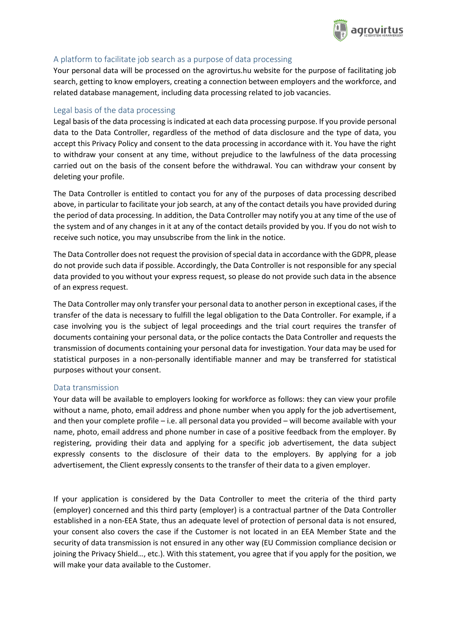

## A platform to facilitate job search as a purpose of data processing

Your personal data will be processed on the agrovirtus.hu website for the purpose of facilitating job search, getting to know employers, creating a connection between employers and the workforce, and related database management, including data processing related to job vacancies.

## Legal basis of the data processing

Legal basis of the data processing is indicated at each data processing purpose. If you provide personal data to the Data Controller, regardless of the method of data disclosure and the type of data, you accept this Privacy Policy and consent to the data processing in accordance with it. You have the right to withdraw your consent at any time, without prejudice to the lawfulness of the data processing carried out on the basis of the consent before the withdrawal. You can withdraw your consent by deleting your profile.

The Data Controller is entitled to contact you for any of the purposes of data processing described above, in particular to facilitate your job search, at any of the contact details you have provided during the period of data processing. In addition, the Data Controller may notify you at any time of the use of the system and of any changes in it at any of the contact details provided by you. If you do not wish to receive such notice, you may unsubscribe from the link in the notice.

The Data Controller does not request the provision of special data in accordance with the GDPR, please do not provide such data if possible. Accordingly, the Data Controller is not responsible for any special data provided to you without your express request, so please do not provide such data in the absence of an express request.

The Data Controller may only transfer your personal data to another person in exceptional cases, if the transfer of the data is necessary to fulfill the legal obligation to the Data Controller. For example, if a case involving you is the subject of legal proceedings and the trial court requires the transfer of documents containing your personal data, or the police contacts the Data Controller and requests the transmission of documents containing your personal data for investigation. Your data may be used for statistical purposes in a non-personally identifiable manner and may be transferred for statistical purposes without your consent.

## Data transmission

Your data will be available to employers looking for workforce as follows: they can view your profile without a name, photo, email address and phone number when you apply for the job advertisement, and then your complete profile – i.e. all personal data you provided – will become available with your name, photo, email address and phone number in case of a positive feedback from the employer. By registering, providing their data and applying for a specific job advertisement, the data subject expressly consents to the disclosure of their data to the employers. By applying for a job advertisement, the Client expressly consents to the transfer of their data to a given employer.

If your application is considered by the Data Controller to meet the criteria of the third party (employer) concerned and this third party (employer) is a contractual partner of the Data Controller established in a non-EEA State, thus an adequate level of protection of personal data is not ensured, your consent also covers the case if the Customer is not located in an EEA Member State and the security of data transmission is not ensured in any other way (EU Commission compliance decision or joining the Privacy Shield…, etc.). With this statement, you agree that if you apply for the position, we will make your data available to the Customer.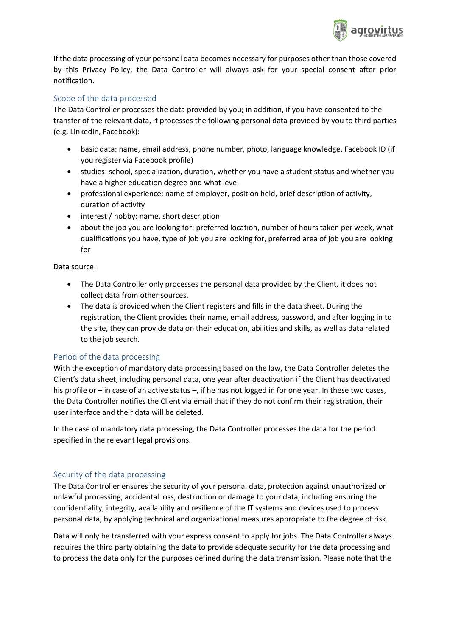

If the data processing of your personal data becomes necessary for purposes other than those covered by this Privacy Policy, the Data Controller will always ask for your special consent after prior notification.

## Scope of the data processed

The Data Controller processes the data provided by you; in addition, if you have consented to the transfer of the relevant data, it processes the following personal data provided by you to third parties (e.g. LinkedIn, Facebook):

- basic data: name, email address, phone number, photo, language knowledge, Facebook ID (if you register via Facebook profile)
- studies: school, specialization, duration, whether you have a student status and whether you have a higher education degree and what level
- professional experience: name of employer, position held, brief description of activity, duration of activity
- interest / hobby: name, short description
- about the job you are looking for: preferred location, number of hours taken per week, what qualifications you have, type of job you are looking for, preferred area of job you are looking for

Data source:

- The Data Controller only processes the personal data provided by the Client, it does not collect data from other sources.
- The data is provided when the Client registers and fills in the data sheet. During the registration, the Client provides their name, email address, password, and after logging in to the site, they can provide data on their education, abilities and skills, as well as data related to the job search.

## Period of the data processing

With the exception of mandatory data processing based on the law, the Data Controller deletes the Client's data sheet, including personal data, one year after deactivation if the Client has deactivated his profile or – in case of an active status –, if he has not logged in for one year. In these two cases, the Data Controller notifies the Client via email that if they do not confirm their registration, their user interface and their data will be deleted.

In the case of mandatory data processing, the Data Controller processes the data for the period specified in the relevant legal provisions.

## Security of the data processing

The Data Controller ensures the security of your personal data, protection against unauthorized or unlawful processing, accidental loss, destruction or damage to your data, including ensuring the confidentiality, integrity, availability and resilience of the IT systems and devices used to process personal data, by applying technical and organizational measures appropriate to the degree of risk.

Data will only be transferred with your express consent to apply for jobs. The Data Controller always requires the third party obtaining the data to provide adequate security for the data processing and to process the data only for the purposes defined during the data transmission. Please note that the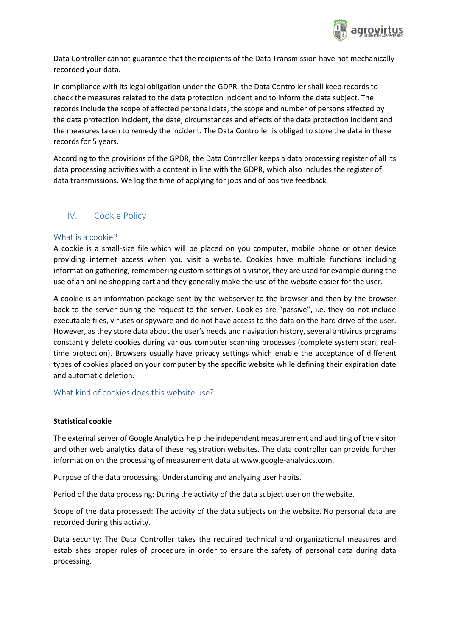

Data Controller cannot guarantee that the recipients of the Data Transmission have not mechanically recorded your data.

In compliance with its legal obligation under the GDPR, the Data Controller shall keep records to check the measures related to the data protection incident and to inform the data subject. The records include the scope of affected personal data, the scope and number of persons affected by the data protection incident, the date, circumstances and effects of the data protection incident and the measures taken to remedy the incident. The Data Controller is obliged to store the data in these records for 5 years.

According to the provisions of the GPDR, the Data Controller keeps a data processing register of all its data processing activities with a content in line with the GDPR, which also includes the register of data transmissions. We log the time of applying for jobs and of positive feedback.

## IV. Cookie Policy

### What is a cookie?

A cookie is a small-size file which will be placed on you computer, mobile phone or other device providing internet access when you visit a website. Cookies have multiple functions including information gathering, remembering custom settings of a visitor, they are used for example during the use of an online shopping cart and they generally make the use of the website easier for the user.

A cookie is an information package sent by the webserver to the browser and then by the browser back to the server during the request to the server. Cookies are "passive", i.e. they do not include executable files, viruses or spyware and do not have access to the data on the hard drive of the user. However, as they store data about the user's needs and navigation history, several antivirus programs constantly delete cookies during various computer scanning processes (complete system scan, realtime protection). Browsers usually have privacy settings which enable the acceptance of different types of cookies placed on your computer by the specific website while defining their expiration date and automatic deletion.

#### What kind of cookies does this website use?

#### **Statistical cookie**

The external server of Google Analytics help the independent measurement and auditing of the visitor and other web analytics data of these registration websites. The data controller can provide further information on the processing of measurement data at www.google-analytics.com.

Purpose of the data processing: Understanding and analyzing user habits.

Period of the data processing: During the activity of the data subject user on the website.

Scope of the data processed: The activity of the data subjects on the website. No personal data are recorded during this activity.

Data security: The Data Controller takes the required technical and organizational measures and establishes proper rules of procedure in order to ensure the safety of personal data during data processing.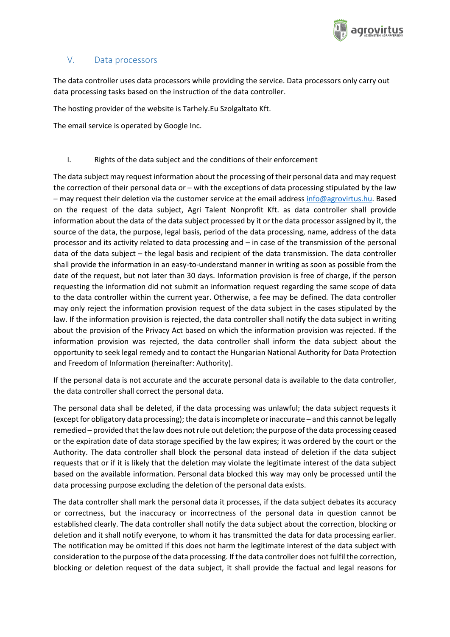

## V. Data processors

The data controller uses data processors while providing the service. Data processors only carry out data processing tasks based on the instruction of the data controller.

The hosting provider of the website is Tarhely.Eu Szolgaltato Kft.

The email service is operated by Google Inc.

### I. Rights of the data subject and the conditions of their enforcement

The data subject may request information about the processing of their personal data and may request the correction of their personal data or – with the exceptions of data processing stipulated by the law – may request their deletion via the customer service at the email addres[s info@agrovirtus.hu.](mailto:info@agrovirtus.hu) Based on the request of the data subject, Agri Talent Nonprofit Kft. as data controller shall provide information about the data of the data subject processed by it or the data processor assigned by it, the source of the data, the purpose, legal basis, period of the data processing, name, address of the data processor and its activity related to data processing and – in case of the transmission of the personal data of the data subject – the legal basis and recipient of the data transmission. The data controller shall provide the information in an easy-to-understand manner in writing as soon as possible from the date of the request, but not later than 30 days. Information provision is free of charge, if the person requesting the information did not submit an information request regarding the same scope of data to the data controller within the current year. Otherwise, a fee may be defined. The data controller may only reject the information provision request of the data subject in the cases stipulated by the law. If the information provision is rejected, the data controller shall notify the data subject in writing about the provision of the Privacy Act based on which the information provision was rejected. If the information provision was rejected, the data controller shall inform the data subject about the opportunity to seek legal remedy and to contact the Hungarian National Authority for Data Protection and Freedom of Information (hereinafter: Authority).

If the personal data is not accurate and the accurate personal data is available to the data controller, the data controller shall correct the personal data.

The personal data shall be deleted, if the data processing was unlawful; the data subject requests it (except for obligatory data processing); the data is incomplete or inaccurate – and this cannot be legally remedied – provided that the law does not rule out deletion; the purpose of the data processing ceased or the expiration date of data storage specified by the law expires; it was ordered by the court or the Authority. The data controller shall block the personal data instead of deletion if the data subject requests that or if it is likely that the deletion may violate the legitimate interest of the data subject based on the available information. Personal data blocked this way may only be processed until the data processing purpose excluding the deletion of the personal data exists.

The data controller shall mark the personal data it processes, if the data subject debates its accuracy or correctness, but the inaccuracy or incorrectness of the personal data in question cannot be established clearly. The data controller shall notify the data subject about the correction, blocking or deletion and it shall notify everyone, to whom it has transmitted the data for data processing earlier. The notification may be omitted if this does not harm the legitimate interest of the data subject with consideration to the purpose of the data processing. If the data controller does not fulfil the correction, blocking or deletion request of the data subject, it shall provide the factual and legal reasons for